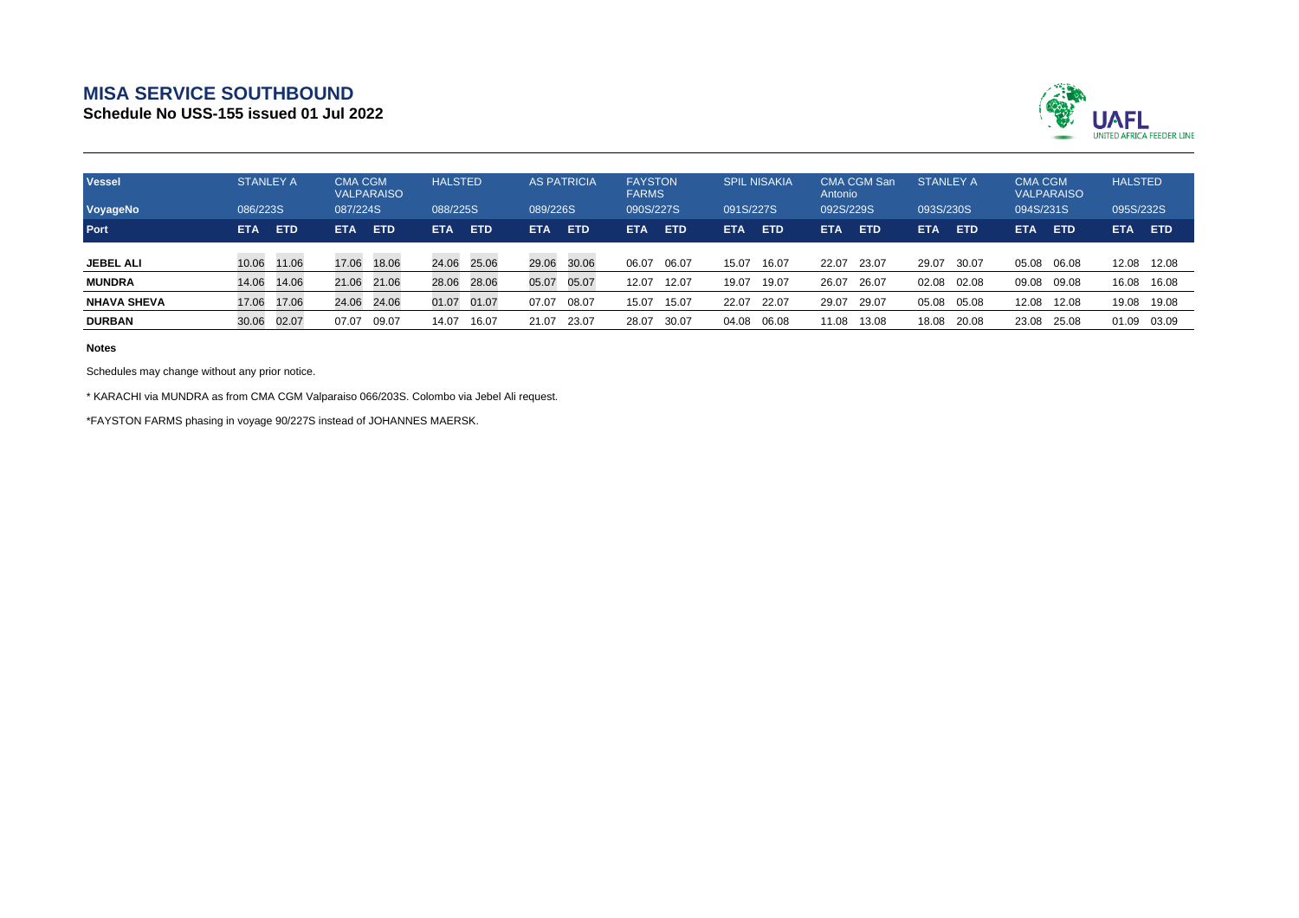## **MISA SERVICE SOUTHBOUND**

**Schedule No USS-155 issued 01 Jul 2022**



| <b>Vessel</b>      | <b>STANLEY A</b> |            |            | <b>CMA CGM</b><br><b>VALPARAISO</b> |          | <b>HALSTED</b> |            | <b>AS PATRICIA</b> |            | <b>FAYSTON</b><br><b>FARMS</b> |            | <b>SPIL NISAKIA</b> |            | <b>CMA CGM San</b><br>Antonio |            | <b>STANLEY A</b> |            | <b>CMA CGM</b><br><b>VALPARAISO</b> |            | <b>HALSTED</b> |  |
|--------------------|------------------|------------|------------|-------------------------------------|----------|----------------|------------|--------------------|------------|--------------------------------|------------|---------------------|------------|-------------------------------|------------|------------------|------------|-------------------------------------|------------|----------------|--|
| VoyageNo           | 086/223S         |            | 087/224S   |                                     | 088/225S |                |            | 089/226S           |            | 090S/227S                      |            | 091S/227S           |            | 092S/229S                     |            | 093S/230S        |            | 094S/231S                           |            | 095S/232S      |  |
| Port               | <b>ETA</b>       | <b>ETD</b> | <b>ETA</b> | <b>ETD</b>                          | ETA      | <b>ETD</b>     | <b>ETA</b> | <b>ETD</b>         | <b>ETA</b> | <b>ETD</b>                     | <b>ETA</b> | <b>ETD</b>          | <b>ETA</b> | <b>ETD</b>                    | <b>ETA</b> | <b>ETD</b>       | <b>ETA</b> | <b>ETD</b>                          | <b>ETA</b> | <b>ETD</b>     |  |
| <b>JEBEL ALI</b>   | 10.06            | 11.06      | 17.06      | 18.06                               | 24.06    | 25.06          | 29.06      | 30.06              | 06.07      | 06.07                          | 15.07      | 16.07               | 22.07      | 23.07                         | 29.07      | 30.07            | 05.08      | 06.08                               | 12.08      | 12.08          |  |
| <b>MUNDRA</b>      | 14.06            | 14.06      | 21.06      | 21.06                               | 28.06    | 28.06          | 05.07      | 05.07              | 12.07      | 12.07                          | 19.07      | 19.07               | 26.07      | 26.07                         | 02.08      | 02.08            | 09.08      | 09.08                               | 16.08      | 16.08          |  |
| <b>NHAVA SHEVA</b> | 17.06            | 17.06      | 24.06      | 24.06                               | 01.07    | 01.07          | 07.07      | 08.07              | 15.07      | 15.07                          | 22.07      | 22.07               | 29.07      | 29.07                         | 05.08      | 05.08            | 12.08      | 12.08                               | 19.08      | 19.08          |  |
| <b>DURBAN</b>      | 30.06            | 02.07      | 07.07      | 09.07                               | 14.07    | 16.07          | 21.07      | 23.07              | 28.07      | 30.07                          | 04.08      | 06.08               | 11.08      | 13.08                         | 18.08      | 20.08            | 23.08      | 25.08                               | 01.09      | 03.09          |  |

**Notes**

Schedules may change without any prior notice.

\* KARACHI via MUNDRA as from CMA CGM Valparaiso 066/203S. Colombo via Jebel Ali request.

\*FAYSTON FARMS phasing in voyage 90/227S instead of JOHANNES MAERSK.